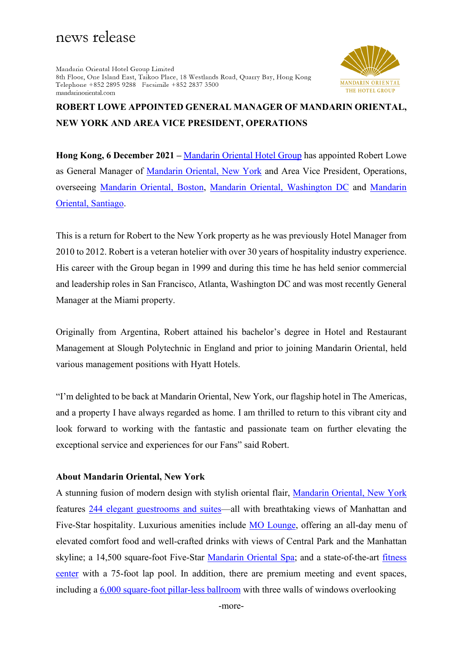## news release

Mandarin Oriental Hotel Group Limited 8th Floor, One Island East, Taikoo Place, 18 Westlands Road, Quarry Bay, Hong Kong Telephone +852 2895 9288 Facsimile +852 2837 3500 mandarinoriental.com



## **ROBERT LOWE APPOINTED GENERAL MANAGER OF MANDARIN ORIENTAL, NEW YORK AND AREA VICE PRESIDENT, OPERATIONS**

**Hong Kong, 6 December 2021 –** [Mandarin Oriental Hotel Group](https://www.mandarinoriental.com/) has appointed Robert Lowe as General Manager of [Mandarin Oriental, New York](http://www.mandarinoriental.com/newyork) and Area Vice President, Operations, overseeing [Mandarin Oriental, Boston,](https://www.mandarinoriental.com/boston/back-bay/luxury-hotel) [Mandarin Oriental, Washington](https://www.mandarinoriental.com/washington/national-mall/luxury-hotel) DC and [Mandarin](https://www.mandarinoriental.com/santiago/las-condes/luxury-hotel)  [Oriental, Santiago.](https://www.mandarinoriental.com/santiago/las-condes/luxury-hotel)

This is a return for Robert to the New York property as he was previously Hotel Manager from 2010 to 2012. Robert is a veteran hotelier with over 30 years of hospitality industry experience. His career with the Group began in 1999 and during this time he has held senior commercial and leadership roles in San Francisco, Atlanta, Washington DC and was most recently General Manager at the Miami property.

Originally from Argentina, Robert attained his bachelor's degree in Hotel and Restaurant Management at Slough Polytechnic in England and prior to joining Mandarin Oriental, held various management positions with Hyatt Hotels.

"I'm delighted to be back at Mandarin Oriental, New York, our flagship hotel in The Americas, and a property I have always regarded as home. I am thrilled to return to this vibrant city and look forward to working with the fantastic and passionate team on further elevating the exceptional service and experiences for our Fans" said Robert.

## **About Mandarin Oriental, New York**

A stunning fusion of modern design with stylish oriental flair, [Mandarin Oriental, New York](http://www.mandarinoriental.com/newyork/) features [244 elegant guestrooms and suites—](http://www.mandarinoriental.com/newyork/accommodation/)all with breathtaking views of Manhattan and Five-Star hospitality. Luxurious amenities include [MO Lounge,](https://www.mandarinoriental.com/new-york/fine-dining/restaurants/mo-lounge) offering an all-day menu of elevated comfort food and well-crafted drinks with views of Central Park and the Manhattan skyline; a 14,500 square-foot Five-Star [Mandarin Oriental Spa;](http://www.mandarinoriental.com/newyork/luxury-spa/) and a state-of-the-art [fitness](https://www.mandarinoriental.com/new-york/manhattan/luxury-fitness-wellness)  [center](https://www.mandarinoriental.com/new-york/manhattan/luxury-fitness-wellness) with a 75-foot lap pool. In addition, there are premium meeting and event spaces, including a [6,000 square-foot pillar-less ballroom](http://www.mandarinoriental.com/newyork/hotel-venues/meeting-facilities/) with three walls of windows overlooking